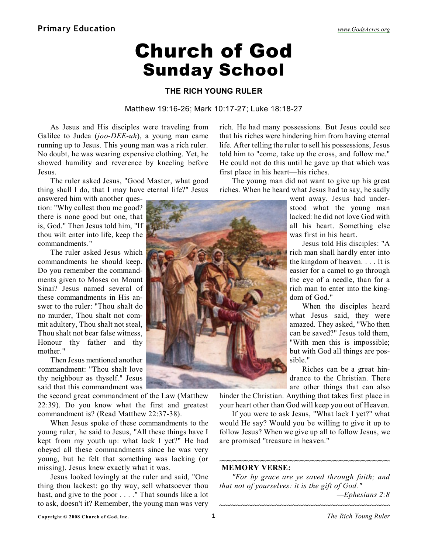## Church of God Sunday School

## **THE RICH YOUNG RULER**

## Matthew 19:16-26; Mark 10:17-27; Luke 18:18-27

As Jesus and His disciples were traveling from Galilee to Judea (*joo-DEE-uh*), a young man came running up to Jesus. This young man was a rich ruler. No doubt, he was wearing expensive clothing. Yet, he showed humility and reverence by kneeling before Jesus.

The ruler asked Jesus, "Good Master, what good thing shall I do, that I may have eternal life?" Jesus

answered him with another question: "Why callest thou me good? there is none good but one, that is, God." Then Jesus told him, "If thou wilt enter into life, keep the commandments."

The ruler asked Jesus which commandments he should keep. Do you remember the commandments given to Moses on Mount Sinai? Jesus named several of these commandments in His answer to the ruler: "Thou shalt do no murder, Thou shalt not commit adultery, Thou shalt not steal, Thou shalt not bear false witness, Honour thy father and thy mother."

Then Jesus mentioned another commandment: "Thou shalt love thy neighbour as thyself." Jesus said that this commandment was

the second great commandment of the Law (Matthew 22:39). Do you know what the first and greatest commandment is? (Read Matthew 22:37-38).

When Jesus spoke of these commandments to the young ruler, he said to Jesus, "All these things have I kept from my youth up: what lack I yet?" He had obeyed all these commandments since he was very young, but he felt that something was lacking (or missing). Jesus knew exactly what it was.

Jesus looked lovingly at the ruler and said, "One thing thou lackest: go thy way, sell whatsoever thou hast, and give to the poor . . . ." That sounds like a lot to ask, doesn't it? Remember, the young man was very

rich. He had many possessions. But Jesus could see that his riches were hindering him from having eternal life. After telling the ruler to sell his possessions, Jesus told him to "come, take up the cross, and follow me." He could not do this until he gave up that which was first place in his heart—his riches.

The young man did not want to give up his great riches. When he heard what Jesus had to say, he sadly

> went away. Jesus had understood what the young man lacked: he did not love God with all his heart. Something else was first in his heart.

> Jesus told His disciples: "A rich man shall hardly enter into the kingdom of heaven. . . . It is easier for a camel to go through the eye of a needle, than for a rich man to enter into the kingdom of God."

> When the disciples heard what Jesus said, they were amazed. They asked, "Who then can be saved?" Jesus told them, "With men this is impossible; but with God all things are possible."

> Riches can be a great hindrance to the Christian. There are other things that can also

hinder the Christian. Anything that takes first place in your heart other than God will keep you out of Heaven.

If you were to ask Jesus, "What lack I yet?" what would He say? Would you be willing to give it up to follow Jesus? When we give up all to follow Jesus, we are promised "treasure in heaven."

## **MEMORY VERSE:**

*"For by grace are ye saved through faith; and that not of yourselves: it is the gift of God."*

*—Ephesians 2:8*

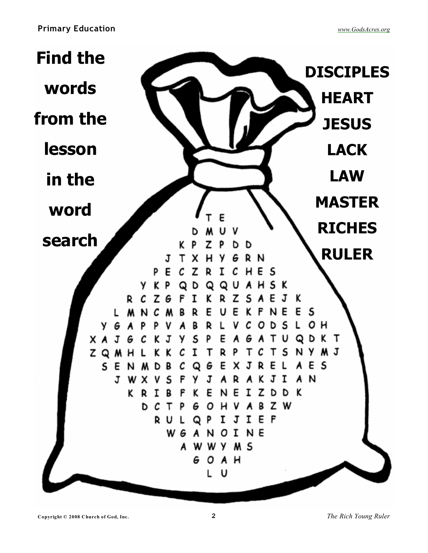